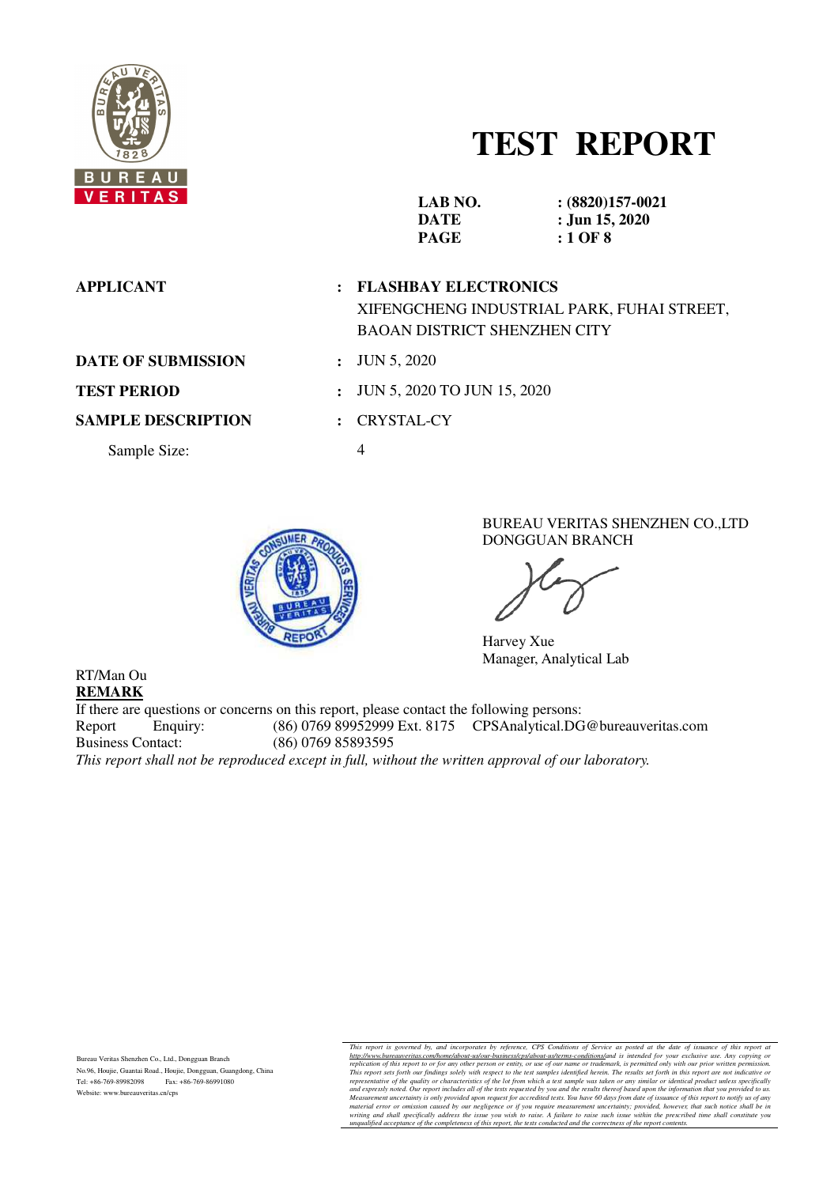

# **TEST REPORT**

| VERIIAS.                  | LAB NO.<br><b>DATE</b><br><b>PAGE</b>               | $(8820)157-0021$<br>: Jun 15, 2020<br>$:1$ OF 8                                   |
|---------------------------|-----------------------------------------------------|-----------------------------------------------------------------------------------|
| <b>APPLICANT</b>          | : FLASHBAY ELECTRONICS                              | XIFENGCHENG INDUSTRIAL PARK, FUHAI STREET,<br><b>BAOAN DISTRICT SHENZHEN CITY</b> |
| <b>DATE OF SUBMISSION</b> | <b>JUN 5, 2020</b><br>$\mathbf{r}$                  |                                                                                   |
| <b>TEST PERIOD</b>        | JUN 5, 2020 TO JUN 15, 2020<br>$\ddot{\phantom{a}}$ |                                                                                   |
| <b>SAMPLE DESCRIPTION</b> | <b>CRYSTAL-CY</b>                                   |                                                                                   |
| Sample Size:              | 4                                                   |                                                                                   |



BUREAU VERITAS SHENZHEN CO.,LTD DONGGUAN BRANCH

Harvey Xue Manager, Analytical Lab

#### RT/Man Ou **REMARK**

If there are questions or concerns on this report, please contact the following persons:<br>Report Enquiry: (86) 0769 89952999 Ext. 8175 CPSAnalytical.DG Report Enquiry: (86) 0769 89952999 Ext. 8175 CPSAnalytical.DG@bureauveritas.com Business Contact: (86) 0769 85893595 *This report shall not be reproduced except in full, without the written approval of our laboratory.* 

Bureau Veritas Shenzhen Co., Ltd., Dongguan Branch No.96, Houjie, Guantai Road., Houjie, Dongguan, Guangdong, China Tel: +86-769-89982098 Fax: +86-769-86991080 Website: www.bureauveritas.cn/cps

This report is governed by, and incorporates by reference, CPS Conditions of Service as posted at the date of issuarce of this report and the tractionary of the tractionary in the tractionary of the state of the standard i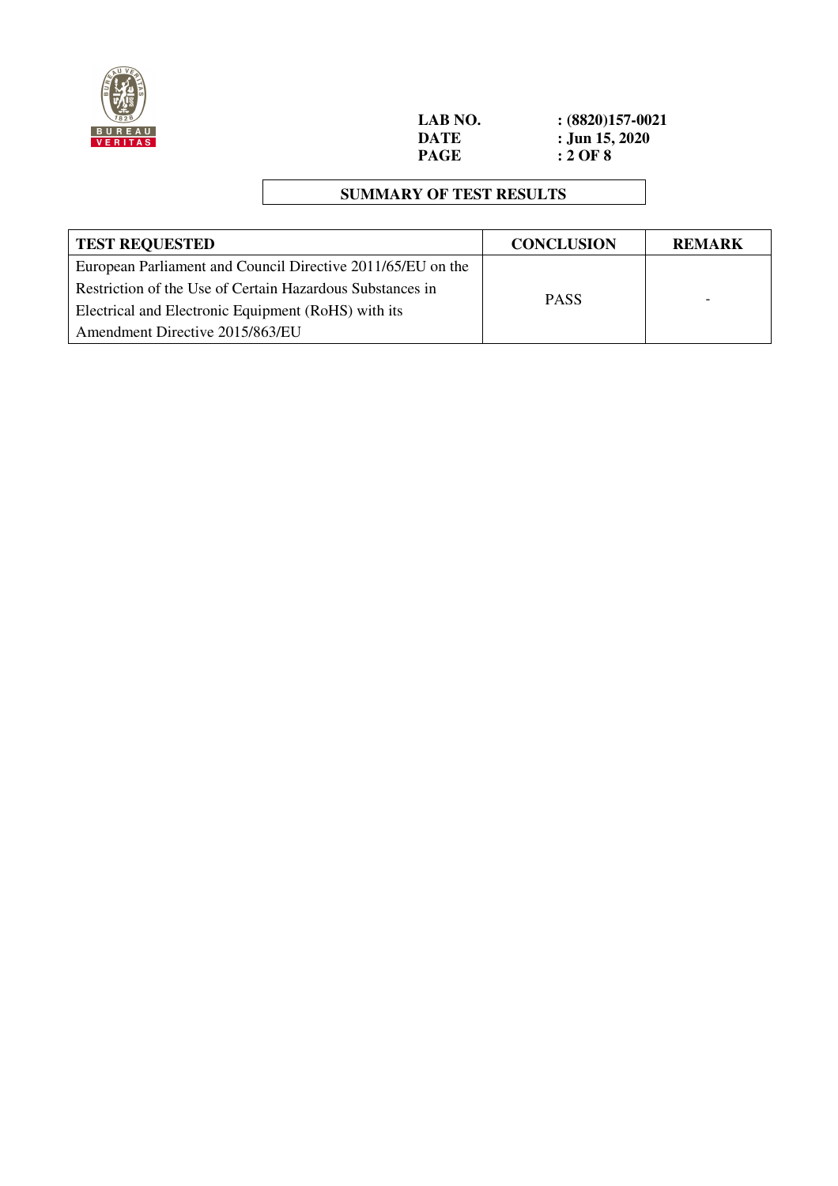

**LAB NO.** <br>**:** (8820)157-0021<br>**DATE :** Jun 15, 2020 **DATE** : **Jun 15, 2020**<br>**PAGE** : **2 OF 8 PAGE : 2 OF 8** 

# **SUMMARY OF TEST RESULTS**

| <b>TEST REQUESTED</b>                                       | <b>CONCLUSION</b> | <b>REMARK</b> |
|-------------------------------------------------------------|-------------------|---------------|
| European Parliament and Council Directive 2011/65/EU on the |                   |               |
| Restriction of the Use of Certain Hazardous Substances in   | <b>PASS</b>       |               |
| Electrical and Electronic Equipment (RoHS) with its         |                   |               |
| Amendment Directive 2015/863/EU                             |                   |               |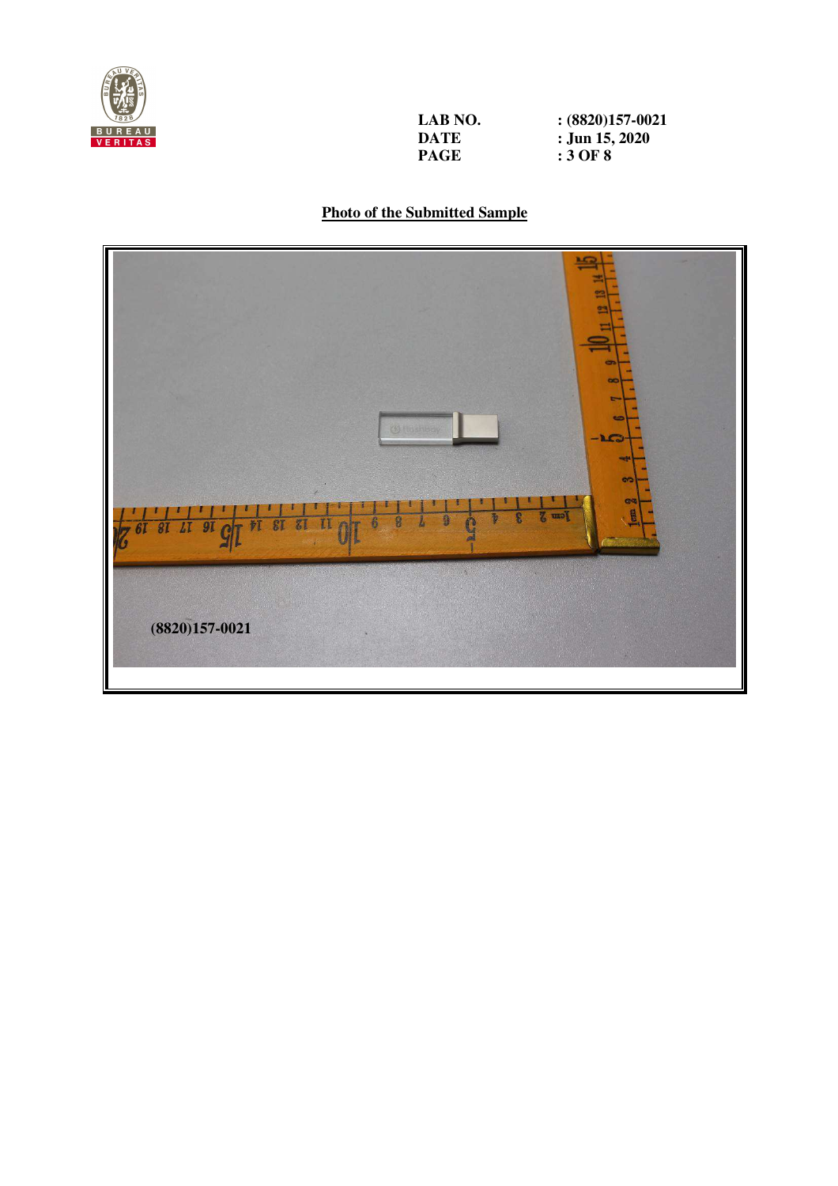

**LAB NO.** <br>**:** (8820)157-0021<br>**DATE :** Jun 15, 2020 **DATE** : **Jun 15, 2020**<br>**PAGE** : 3 OF 8 **PAGE : 3 OF 8** 

# **Photo of the Submitted Sample**

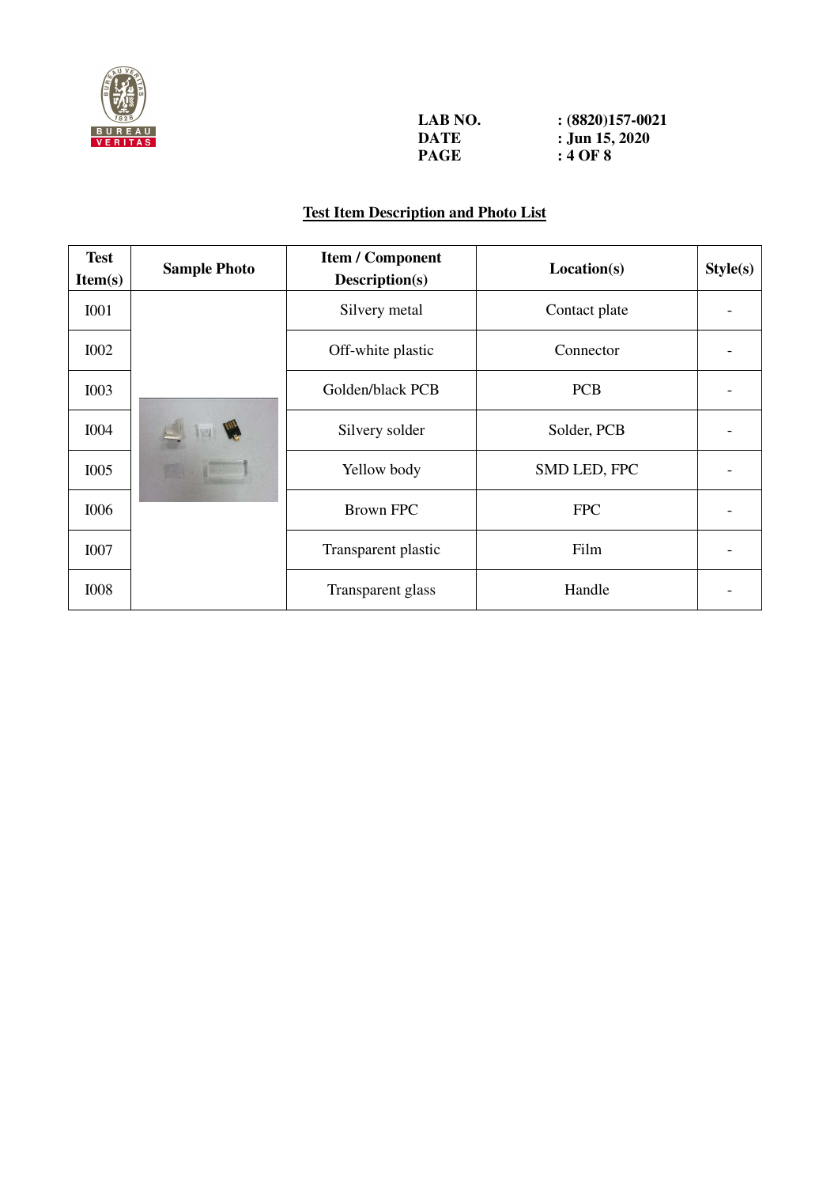

| LAB NO. | $:(8820)157-0021$ |
|---------|-------------------|
| DATE    | : Jun 15, 2020    |
| PAGE    | : 4 OF 8          |

# **Test Item Description and Photo List**

| <b>Test</b><br>Item(s) | <b>Sample Photo</b> | <b>Item / Component</b><br>Description(s) | Location(s)   | Style(s) |
|------------------------|---------------------|-------------------------------------------|---------------|----------|
| <b>I001</b>            |                     | Silvery metal                             | Contact plate |          |
| <b>I002</b>            |                     | Off-white plastic                         | Connector     |          |
| <b>I003</b>            |                     | Golden/black PCB                          | <b>PCB</b>    |          |
| <b>I004</b>            |                     | Silvery solder                            | Solder, PCB   |          |
| I005                   | C.                  | Yellow body                               | SMD LED, FPC  |          |
| <b>I006</b>            |                     | <b>Brown FPC</b>                          | <b>FPC</b>    |          |
| <b>I007</b>            |                     | Transparent plastic                       | Film          |          |
| <b>IOO8</b>            |                     | Transparent glass                         | Handle        |          |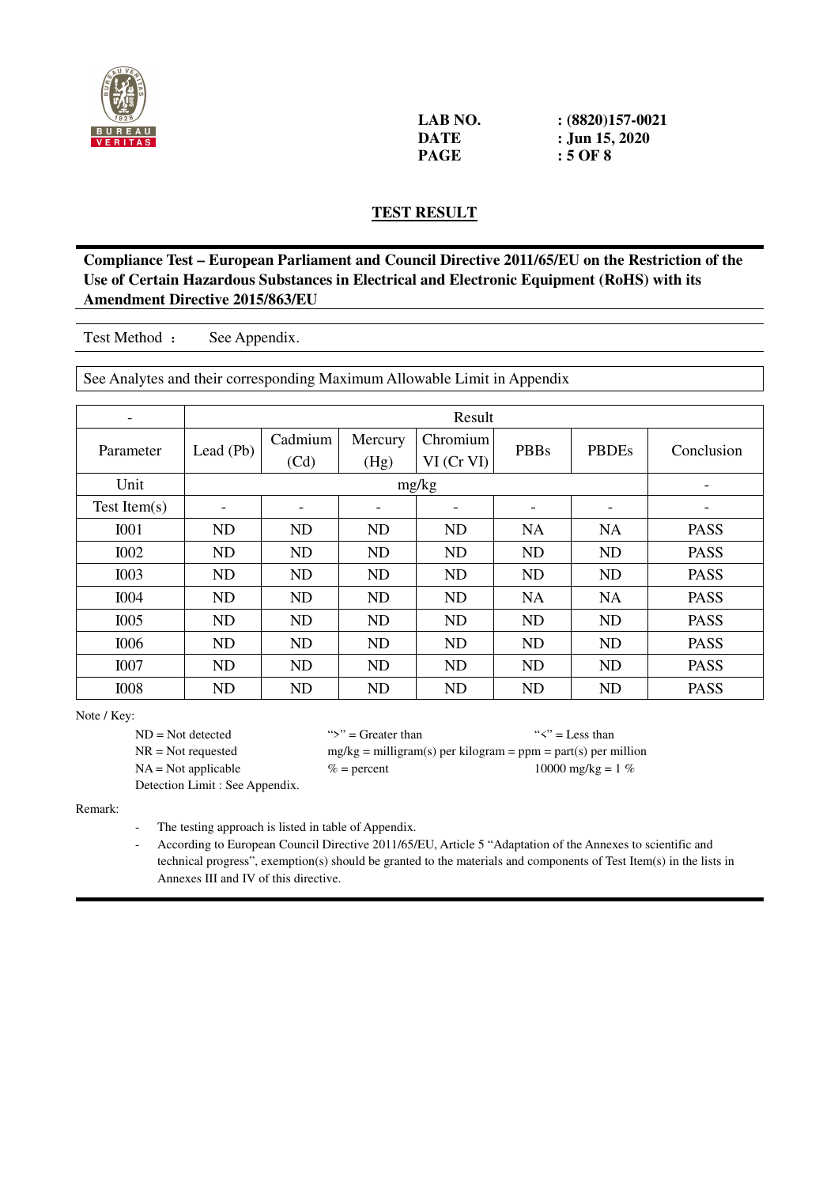

| LAB NO. | $:(8820)157-0021$ |
|---------|-------------------|
| DATE    | $:$ Jun 15, 2020  |
| PAGE    | $:5$ OF 8         |

## **TEST RESULT**

**Compliance Test – European Parliament and Council Directive 2011/65/EU on the Restriction of the Use of Certain Hazardous Substances in Electrical and Electronic Equipment (RoHS) with its Amendment Directive 2015/863/EU** 

Test Method : See Appendix.

See Analytes and their corresponding Maximum Allowable Limit in Appendix

| -               | Result      |           |           |                 |             |              |                          |
|-----------------|-------------|-----------|-----------|-----------------|-------------|--------------|--------------------------|
|                 |             | Cadmium   | Mercury   | Chromium        | <b>PBBs</b> | <b>PBDEs</b> | Conclusion               |
| Parameter       | Lead $(Pb)$ | (Cd)      | (Hg)      | $VI$ (Cr $VI$ ) |             |              |                          |
| Unit            |             |           |           | mg/kg           |             |              | $\overline{\phantom{a}}$ |
| Test Item $(s)$ | -           | ٠         |           |                 |             |              | $\overline{\phantom{a}}$ |
| <b>I001</b>     | ND          | <b>ND</b> | <b>ND</b> | ND              | <b>NA</b>   | <b>NA</b>    | <b>PASS</b>              |
| <b>I002</b>     | ND          | <b>ND</b> | <b>ND</b> | ND              | <b>ND</b>   | <b>ND</b>    | <b>PASS</b>              |
| <b>I003</b>     | ND          | <b>ND</b> | <b>ND</b> | <b>ND</b>       | <b>ND</b>   | <b>ND</b>    | <b>PASS</b>              |
| <b>I004</b>     | ND          | <b>ND</b> | <b>ND</b> | <b>ND</b>       | <b>NA</b>   | <b>NA</b>    | <b>PASS</b>              |
| <b>I005</b>     | ND          | <b>ND</b> | <b>ND</b> | <b>ND</b>       | <b>ND</b>   | <b>ND</b>    | <b>PASS</b>              |
| <b>I006</b>     | ND          | <b>ND</b> | <b>ND</b> | ND              | <b>ND</b>   | <b>ND</b>    | <b>PASS</b>              |
| <b>I007</b>     | <b>ND</b>   | <b>ND</b> | <b>ND</b> | ND              | <b>ND</b>   | <b>ND</b>    | <b>PASS</b>              |
| <b>I008</b>     | <b>ND</b>   | <b>ND</b> | <b>ND</b> | <b>ND</b>       | <b>ND</b>   | <b>ND</b>    | <b>PASS</b>              |

Note / Key:

Detection Limit : See Appendix.

 $ND = Not detected$  ">" = Greater than "<" = Less than  $NR = Not$  requested mg/kg = milligram(s) per kilogram = ppm = part(s) per million  $NA = Not applicable$  % = percent 10000 mg/kg = 1 %

Remark:

- The testing approach is listed in table of Appendix.

 - According to European Council Directive 2011/65/EU, Article 5 "Adaptation of the Annexes to scientific and technical progress", exemption(s) should be granted to the materials and components of Test Item(s) in the lists in Annexes III and IV of this directive.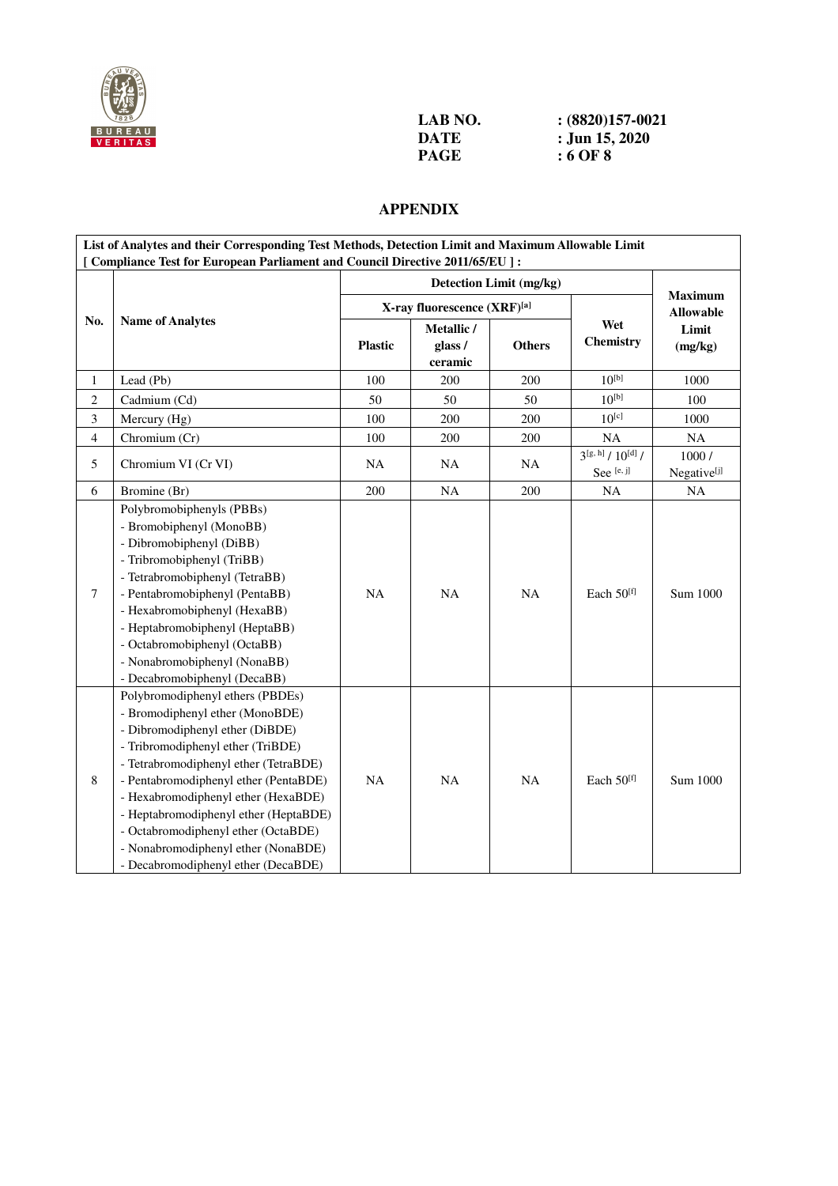

| LAB NO. | $:(8820)157-0021$ |
|---------|-------------------|
| DATE    | $:$ Jun 15, 2020  |
| PAGE    | : 6 OF 8          |

# **APPENDIX**

|                | List of Analytes and their Corresponding Test Methods, Detection Limit and Maximum Allowable Limit<br>[ Compliance Test for European Parliament and Council Directive 2011/65/EU ] :                                                                                                                                                                                                                                               |                         |                                  |               |                                        |                                    |
|----------------|------------------------------------------------------------------------------------------------------------------------------------------------------------------------------------------------------------------------------------------------------------------------------------------------------------------------------------------------------------------------------------------------------------------------------------|-------------------------|----------------------------------|---------------|----------------------------------------|------------------------------------|
|                |                                                                                                                                                                                                                                                                                                                                                                                                                                    | Detection Limit (mg/kg) |                                  |               |                                        |                                    |
|                |                                                                                                                                                                                                                                                                                                                                                                                                                                    |                         | X-ray fluorescence (XRF)[a]      |               |                                        | <b>Maximum</b><br><b>Allowable</b> |
| No.            | <b>Name of Analytes</b>                                                                                                                                                                                                                                                                                                                                                                                                            | <b>Plastic</b>          | Metallic /<br>glass /<br>ceramic | <b>Others</b> | Wet<br><b>Chemistry</b>                | Limit<br>(mg/kg)                   |
| 1              | Lead (Pb)                                                                                                                                                                                                                                                                                                                                                                                                                          | 100                     | 200                              | 200           | $10^{[b]}$                             | 1000                               |
| $\sqrt{2}$     | Cadmium (Cd)                                                                                                                                                                                                                                                                                                                                                                                                                       | 50                      | 50                               | 50            | $10^{[b]}$                             | 100                                |
| 3              | Mercury (Hg)                                                                                                                                                                                                                                                                                                                                                                                                                       | 100                     | 200                              | 200           | $10^{[c]}$                             | 1000                               |
| $\overline{4}$ | Chromium (Cr)                                                                                                                                                                                                                                                                                                                                                                                                                      | 100                     | 200                              | 200           | <b>NA</b>                              | $_{\rm NA}$                        |
| 5              | Chromium VI (Cr VI)                                                                                                                                                                                                                                                                                                                                                                                                                | <b>NA</b>               | <b>NA</b>                        | <b>NA</b>     | $3^{[g, h]}/10^{[d]}/$<br>See $[e, j]$ | 1000/<br>Negativeljl               |
| 6              | Bromine (Br)                                                                                                                                                                                                                                                                                                                                                                                                                       | 200                     | NA                               | 200           | <b>NA</b>                              | NA                                 |
| $\tau$         | Polybromobiphenyls (PBBs)<br>- Bromobiphenyl (MonoBB)<br>- Dibromobiphenyl (DiBB)<br>- Tribromobiphenyl (TriBB)<br>- Tetrabromobiphenyl (TetraBB)<br>- Pentabromobiphenyl (PentaBB)<br>- Hexabromobiphenyl (HexaBB)<br>- Heptabromobiphenyl (HeptaBB)<br>- Octabromobiphenyl (OctaBB)<br>- Nonabromobiphenyl (NonaBB)<br>- Decabromobiphenyl (DecaBB)                                                                              | NA                      | NA                               | <b>NA</b>     | Each 50 <sup>[f]</sup>                 | Sum 1000                           |
| 8              | Polybromodiphenyl ethers (PBDEs)<br>- Bromodiphenyl ether (MonoBDE)<br>- Dibromodiphenyl ether (DiBDE)<br>- Tribromodiphenyl ether (TriBDE)<br>- Tetrabromodiphenyl ether (TetraBDE)<br>- Pentabromodiphenyl ether (PentaBDE)<br>- Hexabromodiphenyl ether (HexaBDE)<br>- Heptabromodiphenyl ether (HeptaBDE)<br>- Octabromodiphenyl ether (OctaBDE)<br>- Nonabromodiphenyl ether (NonaBDE)<br>- Decabromodiphenyl ether (DecaBDE) | <b>NA</b>               | <b>NA</b>                        | <b>NA</b>     | Each $50^{[f]}$                        | Sum 1000                           |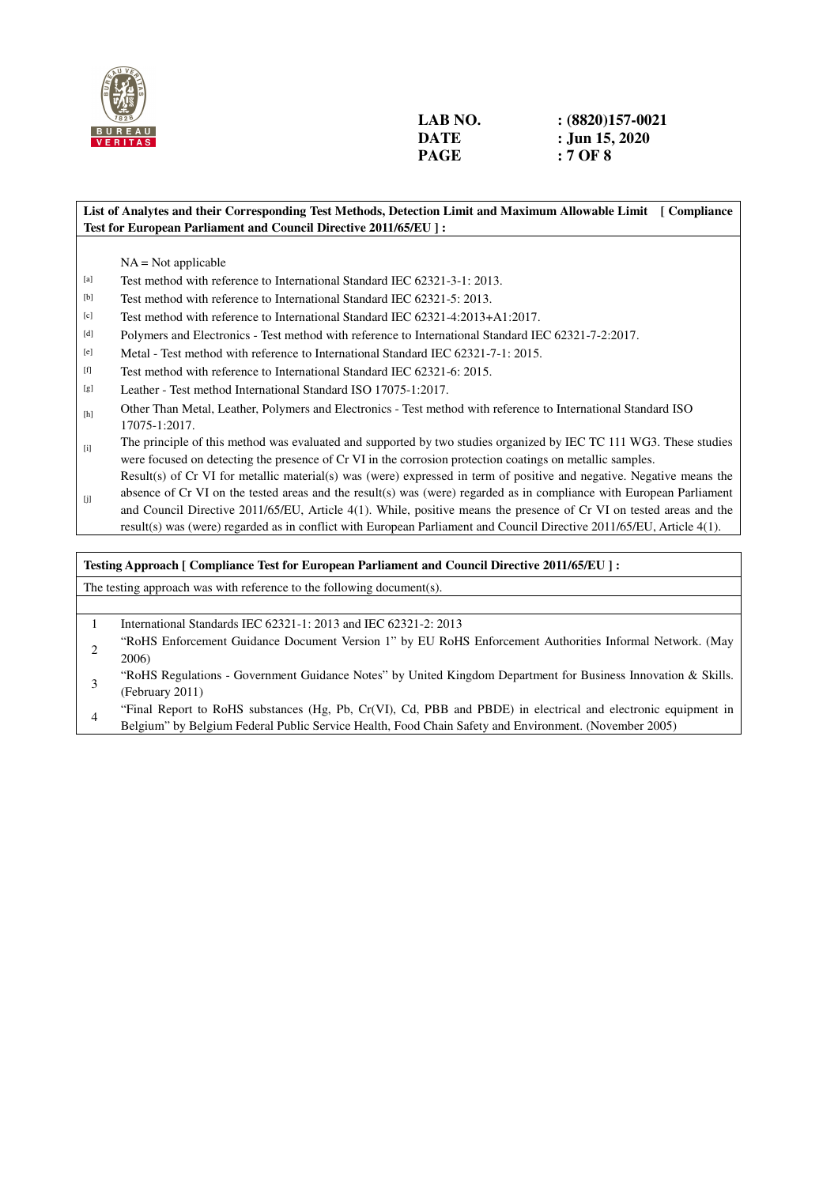

#### **List of Analytes and their Corresponding Test Methods, Detection Limit and Maximum Allowable Limit [ Compliance Test for European Parliament and Council Directive 2011/65/EU ] :**

 $NA = Not$  applicable

- [a] Test method with reference to International Standard IEC 62321-3-1: 2013.
- [b] Test method with reference to International Standard IEC 62321-5: 2013.
- [c] Test method with reference to International Standard IEC 62321-4:2013+A1:2017.
- [d] Polymers and Electronics Test method with reference to International Standard IEC 62321-7-2:2017.
- [e] Metal Test method with reference to International Standard IEC 62321-7-1: 2015.
- [f] Test method with reference to International Standard IEC 62321-6: 2015.
- [g] Leather Test method International Standard ISO 17075-1:2017.
- [h] Other Than Metal, Leather, Polymers and Electronics Test method with reference to International Standard ISO 17075-1:2017.
- [i] The principle of this method was evaluated and supported by two studies organized by IEC TC 111 WG3. These studies were focused on detecting the presence of Cr VI in the corrosion protection coatings on metallic samples. Result(s) of Cr VI for metallic material(s) was (were) expressed in term of positive and negative. Negative means the
- $[j]$ absence of Cr VI on the tested areas and the result(s) was (were) regarded as in compliance with European Parliament and Council Directive 2011/65/EU, Article 4(1). While, positive means the presence of Cr VI on tested areas and the result(s) was (were) regarded as in conflict with European Parliament and Council Directive 2011/65/EU, Article 4(1).

#### **Testing Approach [ Compliance Test for European Parliament and Council Directive 2011/65/EU ] :**

The testing approach was with reference to the following document(s).

- 1 International Standards IEC 62321-1: 2013 and IEC 62321-2: 2013
- <sup>2</sup>"RoHS Enforcement Guidance Document Version 1" by EU RoHS Enforcement Authorities Informal Network. (May 2006)
- <sup>3</sup>"RoHS Regulations Government Guidance Notes" by United Kingdom Department for Business Innovation & Skills. (February 2011)
- <sup>4</sup>"Final Report to RoHS substances (Hg, Pb, Cr(VI), Cd, PBB and PBDE) in electrical and electronic equipment in Belgium" by Belgium Federal Public Service Health, Food Chain Safety and Environment. (November 2005)